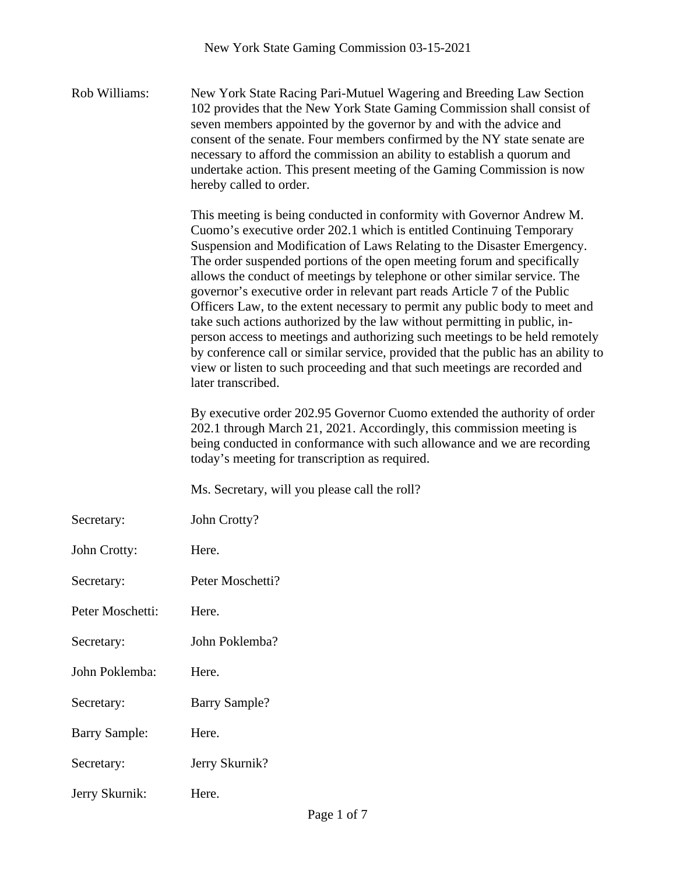Rob Williams: New York State Racing Pari-Mutuel Wagering and Breeding Law Section 102 provides that the New York State Gaming Commission shall consist of seven members appointed by the governor by and with the advice and consent of the senate. Four members confirmed by the NY state senate are necessary to afford the commission an ability to establish a quorum and undertake action. This present meeting of the Gaming Commission is now hereby called to order.

> This meeting is being conducted in conformity with Governor Andrew M. Cuomo's executive order 202.1 which is entitled Continuing Temporary Suspension and Modification of Laws Relating to the Disaster Emergency. The order suspended portions of the open meeting forum and specifically allows the conduct of meetings by telephone or other similar service. The governor's executive order in relevant part reads Article 7 of the Public Officers Law, to the extent necessary to permit any public body to meet and take such actions authorized by the law without permitting in public, inperson access to meetings and authorizing such meetings to be held remotely by conference call or similar service, provided that the public has an ability to view or listen to such proceeding and that such meetings are recorded and later transcribed.

By executive order 202.95 Governor Cuomo extended the authority of order 202.1 through March 21, 2021. Accordingly, this commission meeting is being conducted in conformance with such allowance and we are recording today's meeting for transcription as required.

Ms. Secretary, will you please call the roll?

Secretary: John Crotty?

John Crotty: Here.

Secretary: Peter Moschetti?

Peter Moschetti: Here.

Secretary: John Poklemba?

John Poklemba: Here.

Secretary: Barry Sample?

Barry Sample: Here.

Secretary: Jerry Skurnik?

Jerry Skurnik: Here.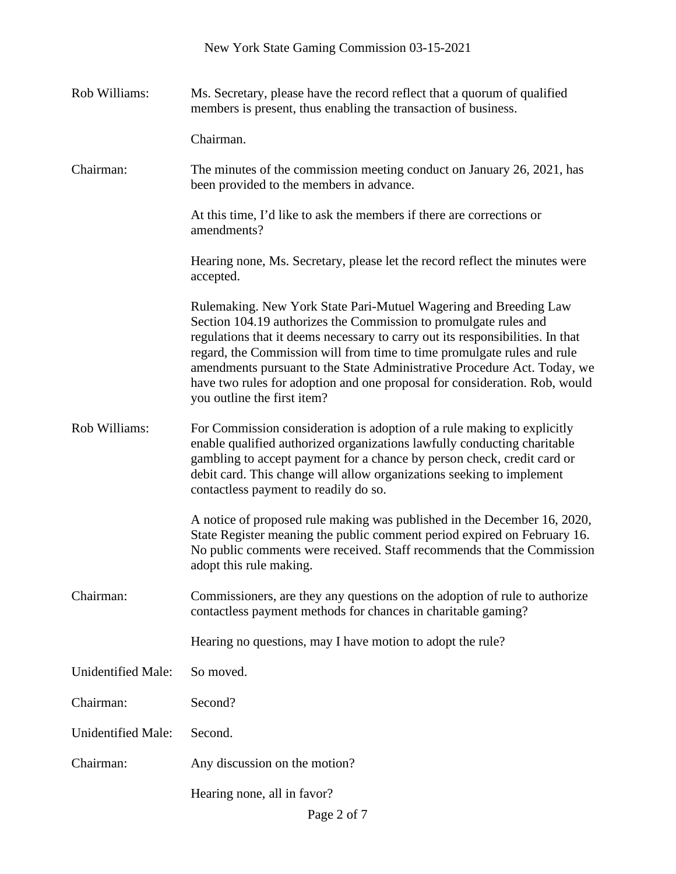| Rob Williams:             | Ms. Secretary, please have the record reflect that a quorum of qualified<br>members is present, thus enabling the transaction of business.                                                                                                                                                                                                                                                                                                                                                 |
|---------------------------|--------------------------------------------------------------------------------------------------------------------------------------------------------------------------------------------------------------------------------------------------------------------------------------------------------------------------------------------------------------------------------------------------------------------------------------------------------------------------------------------|
|                           | Chairman.                                                                                                                                                                                                                                                                                                                                                                                                                                                                                  |
| Chairman:                 | The minutes of the commission meeting conduct on January 26, 2021, has<br>been provided to the members in advance.                                                                                                                                                                                                                                                                                                                                                                         |
|                           | At this time, I'd like to ask the members if there are corrections or<br>amendments?                                                                                                                                                                                                                                                                                                                                                                                                       |
|                           | Hearing none, Ms. Secretary, please let the record reflect the minutes were<br>accepted.                                                                                                                                                                                                                                                                                                                                                                                                   |
|                           | Rulemaking. New York State Pari-Mutuel Wagering and Breeding Law<br>Section 104.19 authorizes the Commission to promulgate rules and<br>regulations that it deems necessary to carry out its responsibilities. In that<br>regard, the Commission will from time to time promulgate rules and rule<br>amendments pursuant to the State Administrative Procedure Act. Today, we<br>have two rules for adoption and one proposal for consideration. Rob, would<br>you outline the first item? |
| Rob Williams:             | For Commission consideration is adoption of a rule making to explicitly<br>enable qualified authorized organizations lawfully conducting charitable<br>gambling to accept payment for a chance by person check, credit card or<br>debit card. This change will allow organizations seeking to implement<br>contactless payment to readily do so.                                                                                                                                           |
|                           | A notice of proposed rule making was published in the December 16, 2020,<br>State Register meaning the public comment period expired on February 16.<br>No public comments were received. Staff recommends that the Commission<br>adopt this rule making.                                                                                                                                                                                                                                  |
| Chairman:                 | Commissioners, are they any questions on the adoption of rule to authorize<br>contactless payment methods for chances in charitable gaming?                                                                                                                                                                                                                                                                                                                                                |
|                           | Hearing no questions, may I have motion to adopt the rule?                                                                                                                                                                                                                                                                                                                                                                                                                                 |
| <b>Unidentified Male:</b> | So moved.                                                                                                                                                                                                                                                                                                                                                                                                                                                                                  |
| Chairman:                 | Second?                                                                                                                                                                                                                                                                                                                                                                                                                                                                                    |
| <b>Unidentified Male:</b> | Second.                                                                                                                                                                                                                                                                                                                                                                                                                                                                                    |
| Chairman:                 | Any discussion on the motion?                                                                                                                                                                                                                                                                                                                                                                                                                                                              |
|                           | Hearing none, all in favor?                                                                                                                                                                                                                                                                                                                                                                                                                                                                |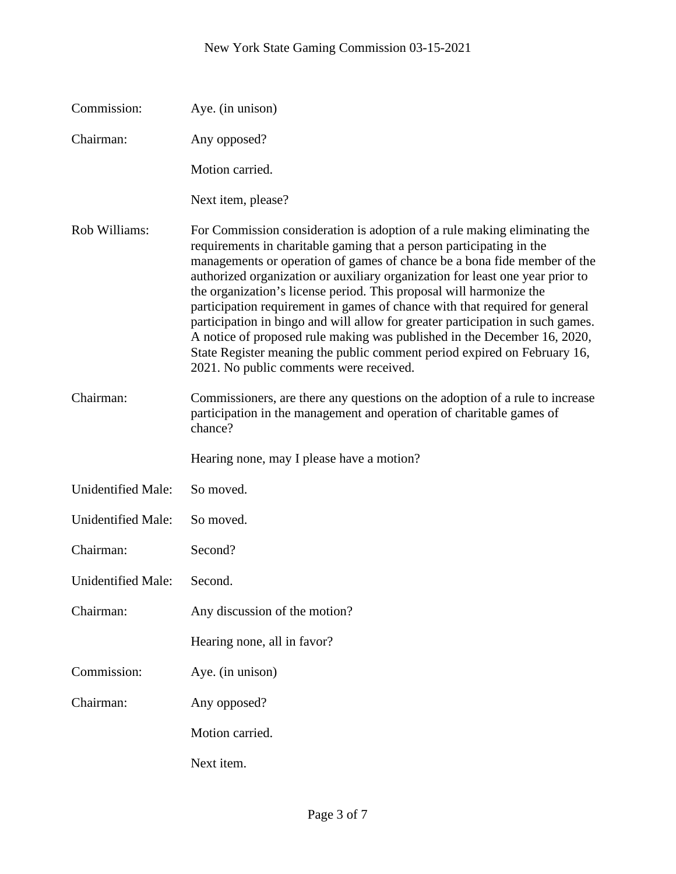| Commission:               | Aye. (in unison)                                                                                                                                                                                                                                                                                                                                                                                                                                                                                                                                                                                                                                                                                                                                          |
|---------------------------|-----------------------------------------------------------------------------------------------------------------------------------------------------------------------------------------------------------------------------------------------------------------------------------------------------------------------------------------------------------------------------------------------------------------------------------------------------------------------------------------------------------------------------------------------------------------------------------------------------------------------------------------------------------------------------------------------------------------------------------------------------------|
| Chairman:                 | Any opposed?                                                                                                                                                                                                                                                                                                                                                                                                                                                                                                                                                                                                                                                                                                                                              |
|                           | Motion carried.                                                                                                                                                                                                                                                                                                                                                                                                                                                                                                                                                                                                                                                                                                                                           |
|                           | Next item, please?                                                                                                                                                                                                                                                                                                                                                                                                                                                                                                                                                                                                                                                                                                                                        |
| Rob Williams:             | For Commission consideration is adoption of a rule making eliminating the<br>requirements in charitable gaming that a person participating in the<br>managements or operation of games of chance be a bona fide member of the<br>authorized organization or auxiliary organization for least one year prior to<br>the organization's license period. This proposal will harmonize the<br>participation requirement in games of chance with that required for general<br>participation in bingo and will allow for greater participation in such games.<br>A notice of proposed rule making was published in the December 16, 2020,<br>State Register meaning the public comment period expired on February 16,<br>2021. No public comments were received. |
| Chairman:                 | Commissioners, are there any questions on the adoption of a rule to increase<br>participation in the management and operation of charitable games of<br>chance?                                                                                                                                                                                                                                                                                                                                                                                                                                                                                                                                                                                           |
|                           | Hearing none, may I please have a motion?                                                                                                                                                                                                                                                                                                                                                                                                                                                                                                                                                                                                                                                                                                                 |
| Unidentified Male:        | So moved.                                                                                                                                                                                                                                                                                                                                                                                                                                                                                                                                                                                                                                                                                                                                                 |
| <b>Unidentified Male:</b> | So moved.                                                                                                                                                                                                                                                                                                                                                                                                                                                                                                                                                                                                                                                                                                                                                 |
| Chairman:                 | Second?                                                                                                                                                                                                                                                                                                                                                                                                                                                                                                                                                                                                                                                                                                                                                   |
| <b>Unidentified Male:</b> | Second.                                                                                                                                                                                                                                                                                                                                                                                                                                                                                                                                                                                                                                                                                                                                                   |
| Chairman:                 | Any discussion of the motion?                                                                                                                                                                                                                                                                                                                                                                                                                                                                                                                                                                                                                                                                                                                             |
|                           | Hearing none, all in favor?                                                                                                                                                                                                                                                                                                                                                                                                                                                                                                                                                                                                                                                                                                                               |
| Commission:               | Aye. (in unison)                                                                                                                                                                                                                                                                                                                                                                                                                                                                                                                                                                                                                                                                                                                                          |
| Chairman:                 | Any opposed?                                                                                                                                                                                                                                                                                                                                                                                                                                                                                                                                                                                                                                                                                                                                              |
|                           | Motion carried.                                                                                                                                                                                                                                                                                                                                                                                                                                                                                                                                                                                                                                                                                                                                           |
|                           | Next item.                                                                                                                                                                                                                                                                                                                                                                                                                                                                                                                                                                                                                                                                                                                                                |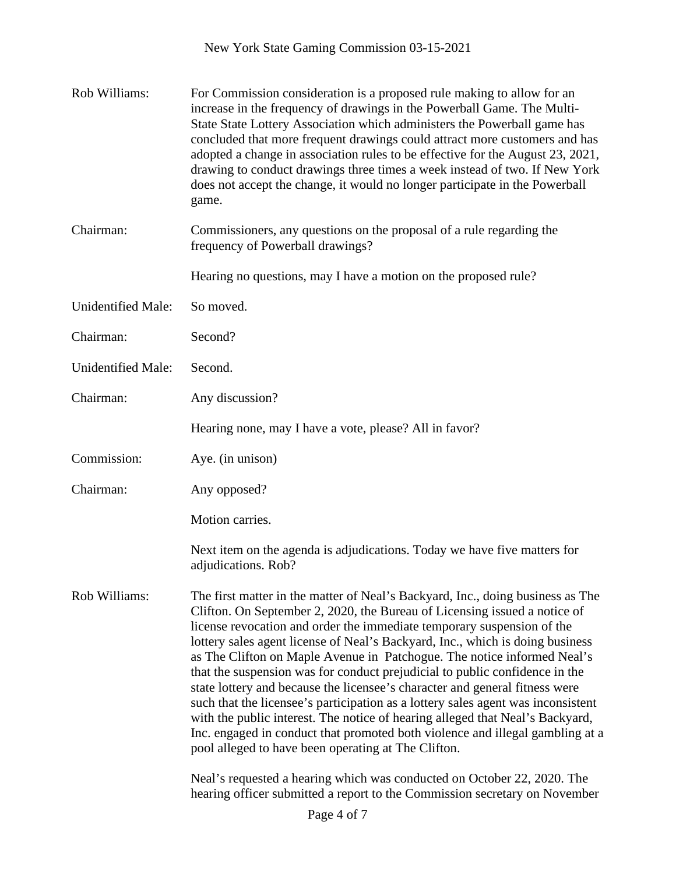| Rob Williams:             | For Commission consideration is a proposed rule making to allow for an<br>increase in the frequency of drawings in the Powerball Game. The Multi-<br>State State Lottery Association which administers the Powerball game has<br>concluded that more frequent drawings could attract more customers and has<br>adopted a change in association rules to be effective for the August 23, 2021,<br>drawing to conduct drawings three times a week instead of two. If New York<br>does not accept the change, it would no longer participate in the Powerball<br>game.                                                                                                                                                                                                                                                                                                          |
|---------------------------|------------------------------------------------------------------------------------------------------------------------------------------------------------------------------------------------------------------------------------------------------------------------------------------------------------------------------------------------------------------------------------------------------------------------------------------------------------------------------------------------------------------------------------------------------------------------------------------------------------------------------------------------------------------------------------------------------------------------------------------------------------------------------------------------------------------------------------------------------------------------------|
| Chairman:                 | Commissioners, any questions on the proposal of a rule regarding the<br>frequency of Powerball drawings?                                                                                                                                                                                                                                                                                                                                                                                                                                                                                                                                                                                                                                                                                                                                                                     |
|                           | Hearing no questions, may I have a motion on the proposed rule?                                                                                                                                                                                                                                                                                                                                                                                                                                                                                                                                                                                                                                                                                                                                                                                                              |
| <b>Unidentified Male:</b> | So moved.                                                                                                                                                                                                                                                                                                                                                                                                                                                                                                                                                                                                                                                                                                                                                                                                                                                                    |
| Chairman:                 | Second?                                                                                                                                                                                                                                                                                                                                                                                                                                                                                                                                                                                                                                                                                                                                                                                                                                                                      |
| <b>Unidentified Male:</b> | Second.                                                                                                                                                                                                                                                                                                                                                                                                                                                                                                                                                                                                                                                                                                                                                                                                                                                                      |
| Chairman:                 | Any discussion?                                                                                                                                                                                                                                                                                                                                                                                                                                                                                                                                                                                                                                                                                                                                                                                                                                                              |
|                           | Hearing none, may I have a vote, please? All in favor?                                                                                                                                                                                                                                                                                                                                                                                                                                                                                                                                                                                                                                                                                                                                                                                                                       |
| Commission:               | Aye. (in unison)                                                                                                                                                                                                                                                                                                                                                                                                                                                                                                                                                                                                                                                                                                                                                                                                                                                             |
| Chairman:                 | Any opposed?                                                                                                                                                                                                                                                                                                                                                                                                                                                                                                                                                                                                                                                                                                                                                                                                                                                                 |
|                           | Motion carries.                                                                                                                                                                                                                                                                                                                                                                                                                                                                                                                                                                                                                                                                                                                                                                                                                                                              |
|                           | Next item on the agenda is adjudications. Today we have five matters for<br>adjudications. Rob?                                                                                                                                                                                                                                                                                                                                                                                                                                                                                                                                                                                                                                                                                                                                                                              |
| Rob Williams:             | The first matter in the matter of Neal's Backyard, Inc., doing business as The<br>Clifton. On September 2, 2020, the Bureau of Licensing issued a notice of<br>license revocation and order the immediate temporary suspension of the<br>lottery sales agent license of Neal's Backyard, Inc., which is doing business<br>as The Clifton on Maple Avenue in Patchogue. The notice informed Neal's<br>that the suspension was for conduct prejudicial to public confidence in the<br>state lottery and because the licensee's character and general fitness were<br>such that the licensee's participation as a lottery sales agent was inconsistent<br>with the public interest. The notice of hearing alleged that Neal's Backyard,<br>Inc. engaged in conduct that promoted both violence and illegal gambling at a<br>pool alleged to have been operating at The Clifton. |
|                           | Neal's requested a hearing which was conducted on October 22, 2020. The<br>hearing officer submitted a report to the Commission secretary on November                                                                                                                                                                                                                                                                                                                                                                                                                                                                                                                                                                                                                                                                                                                        |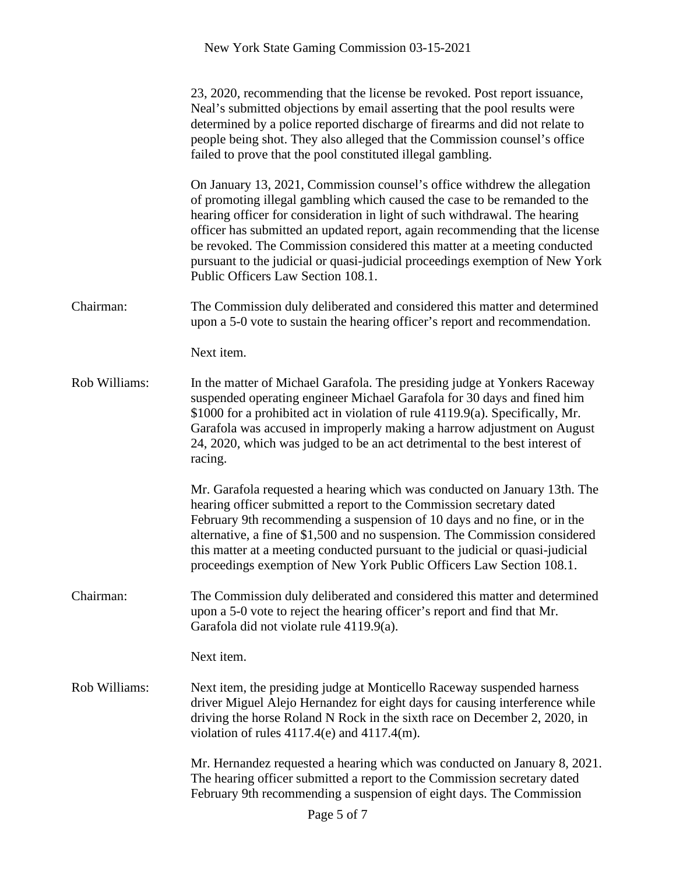|               | 23, 2020, recommending that the license be revoked. Post report issuance,<br>Neal's submitted objections by email asserting that the pool results were<br>determined by a police reported discharge of firearms and did not relate to<br>people being shot. They also alleged that the Commission counsel's office<br>failed to prove that the pool constituted illegal gambling.                                                                                                                                      |
|---------------|------------------------------------------------------------------------------------------------------------------------------------------------------------------------------------------------------------------------------------------------------------------------------------------------------------------------------------------------------------------------------------------------------------------------------------------------------------------------------------------------------------------------|
|               | On January 13, 2021, Commission counsel's office with drew the allegation<br>of promoting illegal gambling which caused the case to be remanded to the<br>hearing officer for consideration in light of such withdrawal. The hearing<br>officer has submitted an updated report, again recommending that the license<br>be revoked. The Commission considered this matter at a meeting conducted<br>pursuant to the judicial or quasi-judicial proceedings exemption of New York<br>Public Officers Law Section 108.1. |
| Chairman:     | The Commission duly deliberated and considered this matter and determined<br>upon a 5-0 vote to sustain the hearing officer's report and recommendation.                                                                                                                                                                                                                                                                                                                                                               |
|               | Next item.                                                                                                                                                                                                                                                                                                                                                                                                                                                                                                             |
| Rob Williams: | In the matter of Michael Garafola. The presiding judge at Yonkers Raceway<br>suspended operating engineer Michael Garafola for 30 days and fined him<br>\$1000 for a prohibited act in violation of rule 4119.9(a). Specifically, Mr.<br>Garafola was accused in improperly making a harrow adjustment on August<br>24, 2020, which was judged to be an act detrimental to the best interest of<br>racing.                                                                                                             |
|               | Mr. Garafola requested a hearing which was conducted on January 13th. The<br>hearing officer submitted a report to the Commission secretary dated<br>February 9th recommending a suspension of 10 days and no fine, or in the<br>alternative, a fine of \$1,500 and no suspension. The Commission considered<br>this matter at a meeting conducted pursuant to the judicial or quasi-judicial<br>proceedings exemption of New York Public Officers Law Section 108.1.                                                  |
| Chairman:     | The Commission duly deliberated and considered this matter and determined<br>upon a 5-0 vote to reject the hearing officer's report and find that Mr.<br>Garafola did not violate rule 4119.9(a).                                                                                                                                                                                                                                                                                                                      |
|               | Next item.                                                                                                                                                                                                                                                                                                                                                                                                                                                                                                             |
| Rob Williams: | Next item, the presiding judge at Monticello Raceway suspended harness<br>driver Miguel Alejo Hernandez for eight days for causing interference while<br>driving the horse Roland N Rock in the sixth race on December 2, 2020, in<br>violation of rules $4117.4(e)$ and $4117.4(m)$ .                                                                                                                                                                                                                                 |
|               | Mr. Hernandez requested a hearing which was conducted on January 8, 2021.<br>The hearing officer submitted a report to the Commission secretary dated<br>February 9th recommending a suspension of eight days. The Commission                                                                                                                                                                                                                                                                                          |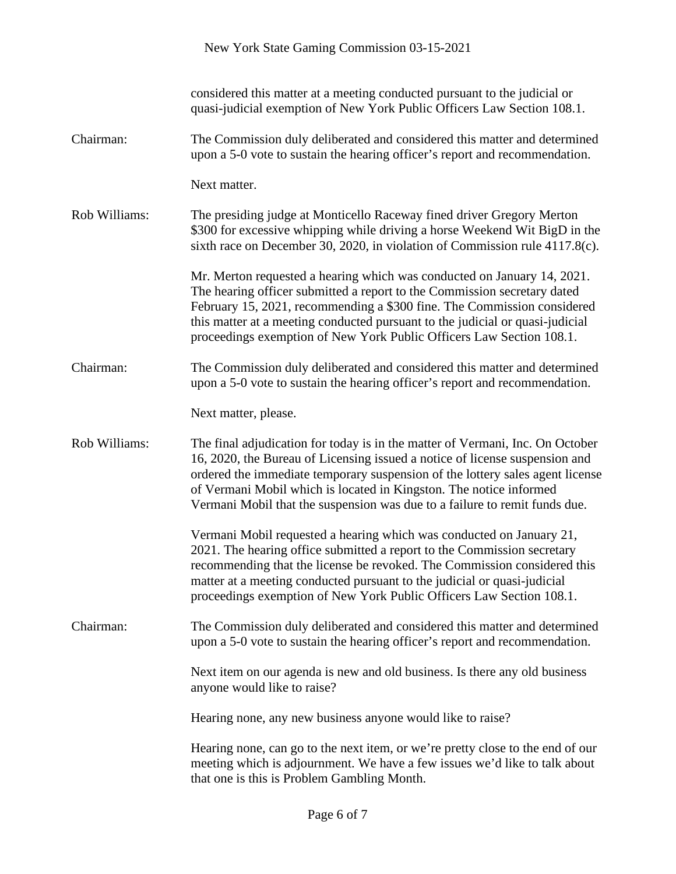|               | New York State Gaming Commission 03-15-2021                                                                                                                                                                                                                                                                                                                                                       |
|---------------|---------------------------------------------------------------------------------------------------------------------------------------------------------------------------------------------------------------------------------------------------------------------------------------------------------------------------------------------------------------------------------------------------|
|               | considered this matter at a meeting conducted pursuant to the judicial or<br>quasi-judicial exemption of New York Public Officers Law Section 108.1.                                                                                                                                                                                                                                              |
| Chairman:     | The Commission duly deliberated and considered this matter and determined<br>upon a 5-0 vote to sustain the hearing officer's report and recommendation.                                                                                                                                                                                                                                          |
|               | Next matter.                                                                                                                                                                                                                                                                                                                                                                                      |
| Rob Williams: | The presiding judge at Monticello Raceway fined driver Gregory Merton<br>\$300 for excessive whipping while driving a horse Weekend Wit BigD in the<br>sixth race on December 30, 2020, in violation of Commission rule 4117.8(c).                                                                                                                                                                |
|               | Mr. Merton requested a hearing which was conducted on January 14, 2021.<br>The hearing officer submitted a report to the Commission secretary dated<br>February 15, 2021, recommending a \$300 fine. The Commission considered<br>this matter at a meeting conducted pursuant to the judicial or quasi-judicial<br>proceedings exemption of New York Public Officers Law Section 108.1.           |
| Chairman:     | The Commission duly deliberated and considered this matter and determined<br>upon a 5-0 vote to sustain the hearing officer's report and recommendation.                                                                                                                                                                                                                                          |
|               | Next matter, please.                                                                                                                                                                                                                                                                                                                                                                              |
| Rob Williams: | The final adjudication for today is in the matter of Vermani, Inc. On October<br>16, 2020, the Bureau of Licensing issued a notice of license suspension and<br>ordered the immediate temporary suspension of the lottery sales agent license<br>of Vermani Mobil which is located in Kingston. The notice informed<br>Vermani Mobil that the suspension was due to a failure to remit funds due. |
|               | Vermani Mobil requested a hearing which was conducted on January 21,<br>2021. The hearing office submitted a report to the Commission secretary<br>recommending that the license be revoked. The Commission considered this<br>matter at a meeting conducted pursuant to the judicial or quasi-judicial<br>proceedings exemption of New York Public Officers Law Section 108.1.                   |
| Chairman:     | The Commission duly deliberated and considered this matter and determined<br>upon a 5-0 vote to sustain the hearing officer's report and recommendation.                                                                                                                                                                                                                                          |
|               | Next item on our agenda is new and old business. Is there any old business<br>anyone would like to raise?                                                                                                                                                                                                                                                                                         |
|               | Hearing none, any new business anyone would like to raise?                                                                                                                                                                                                                                                                                                                                        |
|               | Hearing none, can go to the next item, or we're pretty close to the end of our<br>meeting which is adjournment. We have a few issues we'd like to talk about<br>that one is this is Problem Gambling Month.                                                                                                                                                                                       |